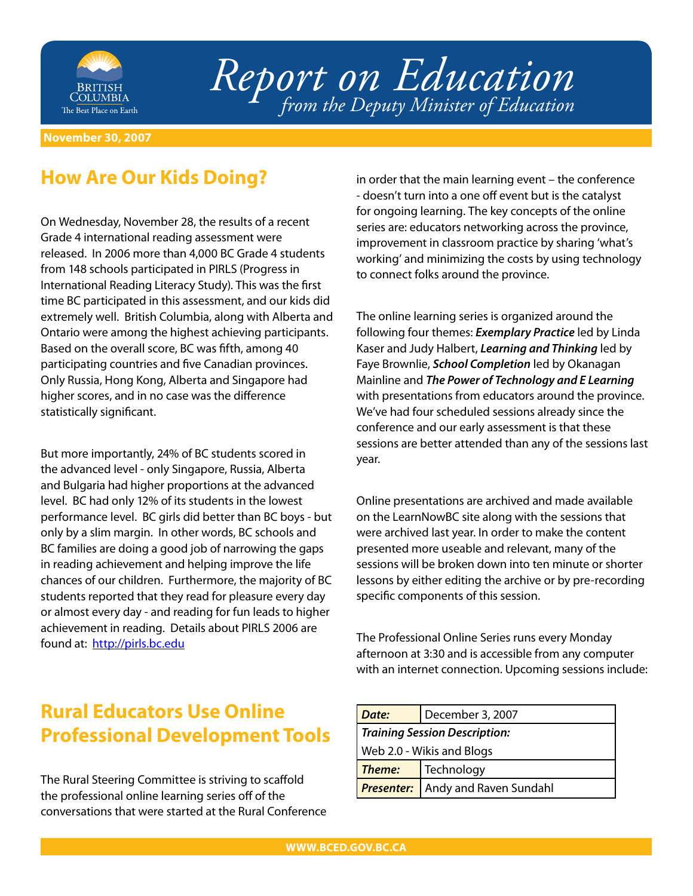

## *Report on Education from the Deputy Minister of Education*

## **November 30, 2007**

## **How Are Our Kids Doing?**

On Wednesday, November 28, the results of a recent Grade 4 international reading assessment were released. In 2006 more than 4,000 BC Grade 4 students from 148 schools participated in PIRLS (Progress in International Reading Literacy Study). This was the first time BC participated in this assessment, and our kids did extremely well. British Columbia, along with Alberta and Ontario were among the highest achieving participants. Based on the overall score, BC was fifth, among 40 participating countries and five Canadian provinces. Only Russia, Hong Kong, Alberta and Singapore had higher scores, and in no case was the difference statistically significant.

But more importantly, 24% of BC students scored in the advanced level - only Singapore, Russia, Alberta and Bulgaria had higher proportions at the advanced level. BC had only 12% of its students in the lowest performance level. BC girls did better than BC boys - but only by a slim margin. In other words, BC schools and BC families are doing a good job of narrowing the gaps in reading achievement and helping improve the life chances of our children. Furthermore, the majority of BC students reported that they read for pleasure every day or almost every day - and reading for fun leads to higher achievement in reading. Details about PIRLS 2006 are found at: http://pirls.bc.edu

in order that the main learning event – the conference - doesn't turn into a one off event but is the catalyst for ongoing learning. The key concepts of the online series are: educators networking across the province, improvement in classroom practice by sharing 'what's working' and minimizing the costs by using technology to connect folks around the province.

The online learning series is organized around the following four themes: *Exemplary Practice* led by Linda Kaser and Judy Halbert, *Learning and Thinking* led by Faye Brownlie, *School Completion* led by Okanagan Mainline and *The Power of Technology and E Learning* with presentations from educators around the province. We've had four scheduled sessions already since the conference and our early assessment is that these sessions are better attended than any of the sessions last year.

Online presentations are archived and made available on the LearnNowBC site along with the sessions that were archived last year. In order to make the content presented more useable and relevant, many of the sessions will be broken down into ten minute or shorter lessons by either editing the archive or by pre-recording specific components of this session.

The Professional Online Series runs every Monday afternoon at 3:30 and is accessible from any computer with an internet connection. Upcoming sessions include:

## **Rural Educators Use Online Professional Development Tools**

The Rural Steering Committee is striving to scaffold the professional online learning series off of the conversations that were started at the Rural Conference

| Date:                                | December 3, 2007                         |  |
|--------------------------------------|------------------------------------------|--|
| <b>Training Session Description:</b> |                                          |  |
| Web 2.0 - Wikis and Blogs            |                                          |  |
|                                      | <b>Theme:</b> Technology                 |  |
|                                      | <b>Presenter:</b> Andy and Raven Sundahl |  |